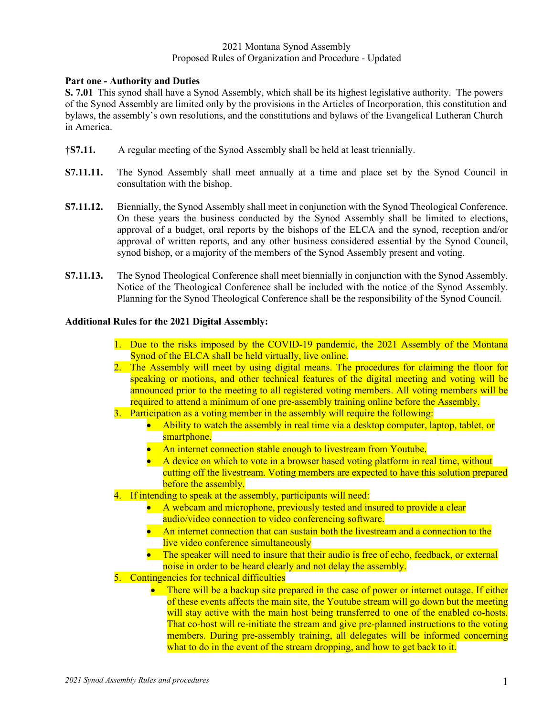### 2021 Montana Synod Assembly Proposed Rules of Organization and Procedure - Updated

# **Part one - Authority and Duties**

**S. 7.01** This synod shall have a Synod Assembly, which shall be its highest legislative authority. The powers of the Synod Assembly are limited only by the provisions in the Articles of Incorporation, this constitution and bylaws, the assembly's own resolutions, and the constitutions and bylaws of the Evangelical Lutheran Church in America.

- **†S7.11.** A regular meeting of the Synod Assembly shall be held at least triennially.
- **S7.11.11.** The Synod Assembly shall meet annually at a time and place set by the Synod Council in consultation with the bishop.
- **S7.11.12.** Biennially, the Synod Assembly shall meet in conjunction with the Synod Theological Conference. On these years the business conducted by the Synod Assembly shall be limited to elections, approval of a budget, oral reports by the bishops of the ELCA and the synod, reception and/or approval of written reports, and any other business considered essential by the Synod Council, synod bishop, or a majority of the members of the Synod Assembly present and voting.
- **S7.11.13.** The Synod Theological Conference shall meet biennially in conjunction with the Synod Assembly. Notice of the Theological Conference shall be included with the notice of the Synod Assembly. Planning for the Synod Theological Conference shall be the responsibility of the Synod Council.

# **Additional Rules for the 2021 Digital Assembly:**

- 1. Due to the risks imposed by the COVID-19 pandemic, the 2021 Assembly of the Montana Synod of the ELCA shall be held virtually, live online.
- 2. The Assembly will meet by using digital means. The procedures for claiming the floor for speaking or motions, and other technical features of the digital meeting and voting will be announced prior to the meeting to all registered voting members. All voting members will be required to attend a minimum of one pre-assembly training online before the Assembly.
- 3. Participation as a voting member in the assembly will require the following:
	- Ability to watch the assembly in real time via a desktop computer, laptop, tablet, or smartphone.
	- An internet connection stable enough to livestream from Youtube.
	- A device on which to vote in a browser based voting platform in real time, without cutting off the livestream. Voting members are expected to have this solution prepared before the assembly.
- 4. If intending to speak at the assembly, participants will need:
	- A webcam and microphone, previously tested and insured to provide a clear audio/video connection to video conferencing software.
	- An internet connection that can sustain both the livestream and a connection to the live video conference simultaneously
	- The speaker will need to insure that their audio is free of echo, feedback, or external noise in order to be heard clearly and not delay the assembly.
- 5. Contingencies for technical difficulties
	- There will be a backup site prepared in the case of power or internet outage. If either of these events affects the main site, the Youtube stream will go down but the meeting will stay active with the main host being transferred to one of the enabled co-hosts. That co-host will re-initiate the stream and give pre-planned instructions to the voting members. During pre-assembly training, all delegates will be informed concerning what to do in the event of the stream dropping, and how to get back to it.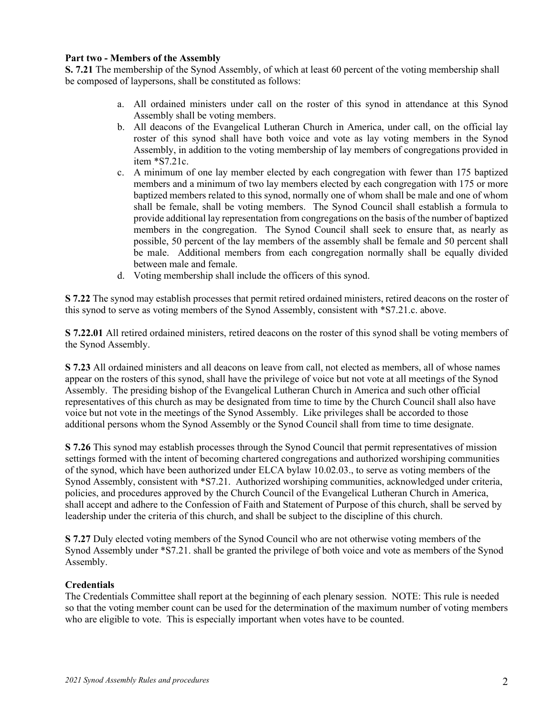# **Part two - Members of the Assembly**

**S. 7.21** The membership of the Synod Assembly, of which at least 60 percent of the voting membership shall be composed of laypersons, shall be constituted as follows:

- a. All ordained ministers under call on the roster of this synod in attendance at this Synod Assembly shall be voting members.
- b. All deacons of the Evangelical Lutheran Church in America, under call, on the official lay roster of this synod shall have both voice and vote as lay voting members in the Synod Assembly, in addition to the voting membership of lay members of congregations provided in item \*S7.21c.
- c. A minimum of one lay member elected by each congregation with fewer than 175 baptized members and a minimum of two lay members elected by each congregation with 175 or more baptized members related to this synod, normally one of whom shall be male and one of whom shall be female, shall be voting members. The Synod Council shall establish a formula to provide additional lay representation from congregations on the basis of the number of baptized members in the congregation. The Synod Council shall seek to ensure that, as nearly as possible, 50 percent of the lay members of the assembly shall be female and 50 percent shall be male. Additional members from each congregation normally shall be equally divided between male and female.
- d. Voting membership shall include the officers of this synod.

**S 7.22** The synod may establish processes that permit retired ordained ministers, retired deacons on the roster of this synod to serve as voting members of the Synod Assembly, consistent with \*S7.21.c. above.

**S 7.22.01** All retired ordained ministers, retired deacons on the roster of this synod shall be voting members of the Synod Assembly.

**S 7.23** All ordained ministers and all deacons on leave from call, not elected as members, all of whose names appear on the rosters of this synod, shall have the privilege of voice but not vote at all meetings of the Synod Assembly. The presiding bishop of the Evangelical Lutheran Church in America and such other official representatives of this church as may be designated from time to time by the Church Council shall also have voice but not vote in the meetings of the Synod Assembly. Like privileges shall be accorded to those additional persons whom the Synod Assembly or the Synod Council shall from time to time designate.

**S 7.26** This synod may establish processes through the Synod Council that permit representatives of mission settings formed with the intent of becoming chartered congregations and authorized worshiping communities of the synod, which have been authorized under ELCA bylaw 10.02.03., to serve as voting members of the Synod Assembly, consistent with \*S7.21. Authorized worshiping communities, acknowledged under criteria, policies, and procedures approved by the Church Council of the Evangelical Lutheran Church in America, shall accept and adhere to the Confession of Faith and Statement of Purpose of this church, shall be served by leadership under the criteria of this church, and shall be subject to the discipline of this church.

**S 7.27** Duly elected voting members of the Synod Council who are not otherwise voting members of the Synod Assembly under \*S7.21. shall be granted the privilege of both voice and vote as members of the Synod Assembly.

## **Credentials**

The Credentials Committee shall report at the beginning of each plenary session. NOTE: This rule is needed so that the voting member count can be used for the determination of the maximum number of voting members who are eligible to vote. This is especially important when votes have to be counted.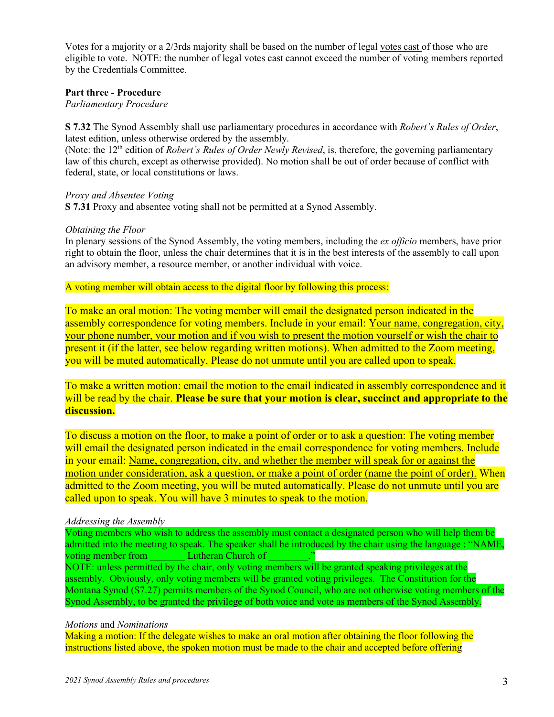Votes for a majority or a 2/3rds majority shall be based on the number of legal votes cast of those who are eligible to vote. NOTE: the number of legal votes cast cannot exceed the number of voting members reported by the Credentials Committee.

### **Part three - Procedure**

*Parliamentary Procedure*

**S 7.32** The Synod Assembly shall use parliamentary procedures in accordance with *Robert's Rules of Order*, latest edition, unless otherwise ordered by the assembly.

(Note: the 12<sup>th</sup> edition of *Robert's Rules of Order Newly Revised*, is, therefore, the governing parliamentary law of this church, except as otherwise provided). No motion shall be out of order because of conflict with federal, state, or local constitutions or laws.

### *Proxy and Absentee Voting*

**S 7.31** Proxy and absentee voting shall not be permitted at a Synod Assembly.

### *Obtaining the Floor*

In plenary sessions of the Synod Assembly, the voting members, including the *ex officio* members, have prior right to obtain the floor, unless the chair determines that it is in the best interests of the assembly to call upon an advisory member, a resource member, or another individual with voice.

A voting member will obtain access to the digital floor by following this process:

To make an oral motion: The voting member will email the designated person indicated in the assembly correspondence for voting members. Include in your email: Your name, congregation, city, your phone number, your motion and if you wish to present the motion yourself or wish the chair to present it (if the latter, see below regarding written motions). When admitted to the Zoom meeting, you will be muted automatically. Please do not unmute until you are called upon to speak.

To make a written motion: email the motion to the email indicated in assembly correspondence and it will be read by the chair. **Please be sure that your motion is clear, succinct and appropriate to the discussion.**

To discuss a motion on the floor, to make a point of order or to ask a question: The voting member will email the designated person indicated in the email correspondence for voting members. Include in your email: Name, congregation, city, and whether the member will speak for or against the motion under consideration, ask a question, or make a point of order (name the point of order). When admitted to the Zoom meeting, you will be muted automatically. Please do not unmute until you are called upon to speak. You will have 3 minutes to speak to the motion.

#### *Addressing the Assembly*

Voting members who wish to address the assembly must contact a designated person who will help them be admitted into the meeting to speak. The speaker shall be introduced by the chair using the language : "NAME, voting member from Lutheran Church of Theorem 2014 NOTE: unless permitted by the chair, only voting members will be granted speaking privileges at the assembly. Obviously, only voting members will be granted voting privileges. The Constitution for the Montana Synod (S7.27) permits members of the Synod Council, who are not otherwise voting members of the Synod Assembly, to be granted the privilege of both voice and vote as members of the Synod Assembly.

#### *Motions* and *Nominations*

Making a motion: If the delegate wishes to make an oral motion after obtaining the floor following the instructions listed above, the spoken motion must be made to the chair and accepted before offering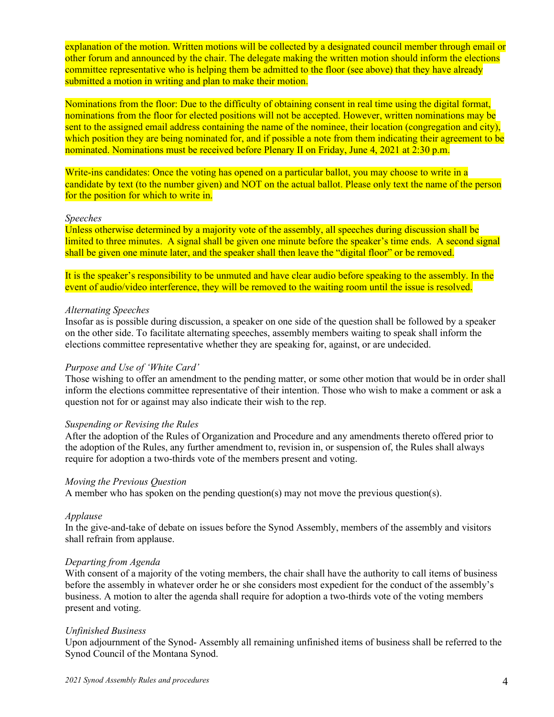explanation of the motion. Written motions will be collected by a designated council member through email or other forum and announced by the chair. The delegate making the written motion should inform the elections committee representative who is helping them be admitted to the floor (see above) that they have already submitted a motion in writing and plan to make their motion.

Nominations from the floor: Due to the difficulty of obtaining consent in real time using the digital format, nominations from the floor for elected positions will not be accepted. However, written nominations may be sent to the assigned email address containing the name of the nominee, their location (congregation and city), which position they are being nominated for, and if possible a note from them indicating their agreement to be nominated. Nominations must be received before Plenary II on Friday, June 4, 2021 at 2:30 p.m.

Write-ins candidates: Once the voting has opened on a particular ballot, you may choose to write in a candidate by text (to the number given) and NOT on the actual ballot. Please only text the name of the person for the position for which to write in.

### *Speeches*

Unless otherwise determined by a majority vote of the assembly, all speeches during discussion shall be limited to three minutes. A signal shall be given one minute before the speaker's time ends. A second signal shall be given one minute later, and the speaker shall then leave the "digital floor" or be removed.

It is the speaker's responsibility to be unmuted and have clear audio before speaking to the assembly. In the event of audio/video interference, they will be removed to the waiting room until the issue is resolved.

## *Alternating Speeches*

Insofar as is possible during discussion, a speaker on one side of the question shall be followed by a speaker on the other side. To facilitate alternating speeches, assembly members waiting to speak shall inform the elections committee representative whether they are speaking for, against, or are undecided.

## *Purpose and Use of 'White Card'*

Those wishing to offer an amendment to the pending matter, or some other motion that would be in order shall inform the elections committee representative of their intention. Those who wish to make a comment or ask a question not for or against may also indicate their wish to the rep.

#### *Suspending or Revising the Rules*

After the adoption of the Rules of Organization and Procedure and any amendments thereto offered prior to the adoption of the Rules, any further amendment to, revision in, or suspension of, the Rules shall always require for adoption a two-thirds vote of the members present and voting.

## *Moving the Previous Question*

A member who has spoken on the pending question(s) may not move the previous question(s).

#### *Applause*

In the give-and-take of debate on issues before the Synod Assembly, members of the assembly and visitors shall refrain from applause.

#### *Departing from Agenda*

With consent of a majority of the voting members, the chair shall have the authority to call items of business before the assembly in whatever order he or she considers most expedient for the conduct of the assembly's business. A motion to alter the agenda shall require for adoption a two-thirds vote of the voting members present and voting.

#### *Unfinished Business*

Upon adjournment of the Synod- Assembly all remaining unfinished items of business shall be referred to the Synod Council of the Montana Synod.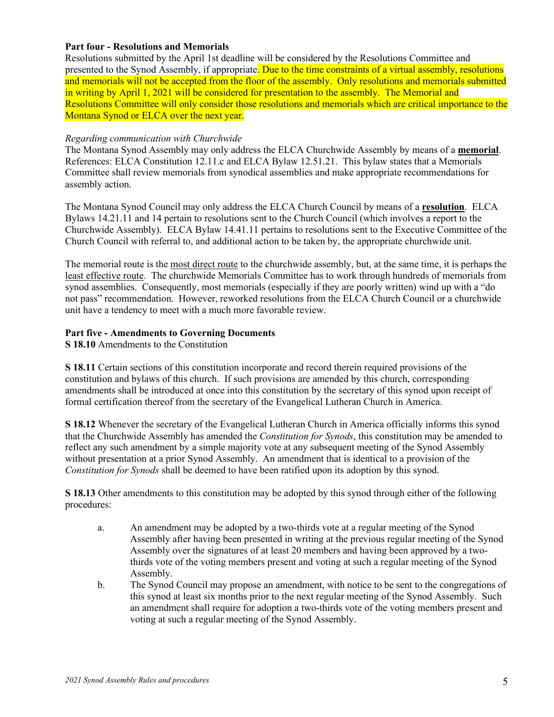# **Part four - Resolutions and Memorials**

Resolutions submitted by the April 1st deadline will be considered by the Resolutions Committee and presented to the Synod Assembly, if appropriate. Due to the time constraints of a virtual assembly, resolutions and memorials will not be accepted from the floor of the assembly. Only resolutions and memorials submitted in writing by April 1, 2021 will be considered for presentation to the assembly. The Memorial and Resolutions Committee will only consider those resolutions and memorials which are critical importance to the Montana Synod or ELCA over the next year.

# *Regarding communication with Churchwide*

The Montana Synod Assembly may only address the ELCA Churchwide Assembly by means of a **memorial**. References: ELCA Constitution 12.11.c and ELCA Bylaw 12.51.21. This bylaw states that a Memorials Committee shall review memorials from synodical assemblies and make appropriate recommendations for assembly action.

The Montana Synod Council may only address the ELCA Church Council by means of a **resolution**. ELCA Bylaws 14.21.11 and 14 pertain to resolutions sent to the Church Council (which involves a report to the Churchwide Assembly). ELCA Bylaw 14.41.11 pertains to resolutions sent to the Executive Committee of the Church Council with referral to, and additional action to be taken by, the appropriate churchwide unit.

The memorial route is the most direct route to the churchwide assembly, but, at the same time, it is perhaps the least effective route. The churchwide Memorials Committee has to work through hundreds of memorials from synod assemblies. Consequently, most memorials (especially if they are poorly written) wind up with a "do not pass" recommendation. However, reworked resolutions from the ELCA Church Council or a churchwide unit have a tendency to meet with a much more favorable review.

# **Part five - Amendments to Governing Documents**

**S 18.10** Amendments to the Constitution

**S 18.11** Certain sections of this constitution incorporate and record therein required provisions of the constitution and bylaws of this church. If such provisions are amended by this church, corresponding amendments shall be introduced at once into this constitution by the secretary of this synod upon receipt of formal certification thereof from the secretary of the Evangelical Lutheran Church in America.

**S 18.12** Whenever the secretary of the Evangelical Lutheran Church in America officially informs this synod that the Churchwide Assembly has amended the *Constitution for Synods*, this constitution may be amended to reflect any such amendment by a simple majority vote at any subsequent meeting of the Synod Assembly without presentation at a prior Synod Assembly. An amendment that is identical to a provision of the *Constitution for Synods* shall be deemed to have been ratified upon its adoption by this synod.

**S 18.13** Other amendments to this constitution may be adopted by this synod through either of the following procedures:

- a. An amendment may be adopted by a two-thirds vote at a regular meeting of the Synod Assembly after having been presented in writing at the previous regular meeting of the Synod Assembly over the signatures of at least 20 members and having been approved by a twothirds vote of the voting members present and voting at such a regular meeting of the Synod Assembly.
- b. The Synod Council may propose an amendment, with notice to be sent to the congregations of this synod at least six months prior to the next regular meeting of the Synod Assembly. Such an amendment shall require for adoption a two-thirds vote of the voting members present and voting at such a regular meeting of the Synod Assembly.